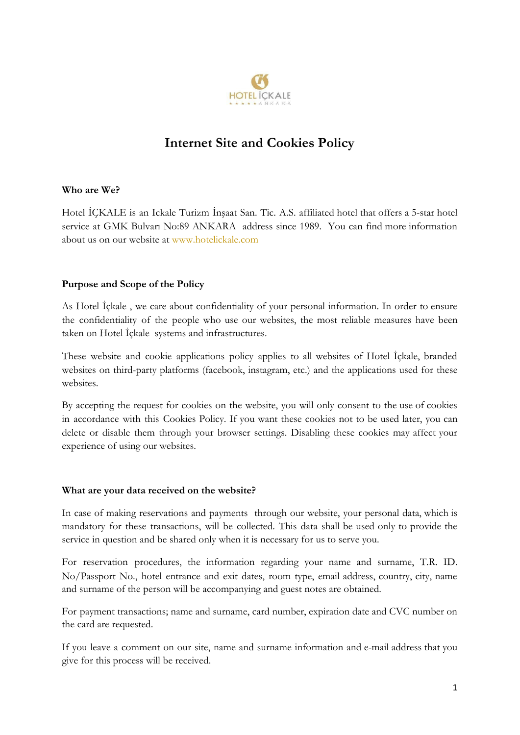

# **Internet Site and Cookies Policy**

#### **Who are We?**

Hotel İÇKALE is an Ickale Turizm İnşaat San. Tic. A.S. affiliated hotel that offers a 5-star hotel service at GMK Bulvarı No:89 ANKARA address since 1989. You can find more information about us on our website at www.hotelickale.com

#### **Purpose and Scope of the Policy**

As Hotel İçkale , we care about confidentiality of your personal information. In order to ensure the confidentiality of the people who use our websites, the most reliable measures have been taken on Hotel İçkale systems and infrastructures.

These website and cookie applications policy applies to all websites of Hotel İçkale, branded websites on third-party platforms (facebook, instagram, etc.) and the applications used for these websites.

By accepting the request for cookies on the website, you will only consent to the use of cookies in accordance with this Cookies Policy. If you want these cookies not to be used later, you can delete or disable them through your browser settings. Disabling these cookies may affect your experience of using our websites.

#### **What are your data received on the website?**

In case of making reservations and payments through our website, your personal data, which is mandatory for these transactions, will be collected. This data shall be used only to provide the service in question and be shared only when it is necessary for us to serve you.

For reservation procedures, the information regarding your name and surname, T.R. ID. No/Passport No., hotel entrance and exit dates, room type, email address, country, city, name and surname of the person will be accompanying and guest notes are obtained.

For payment transactions; name and surname, card number, expiration date and CVC number on the card are requested.

If you leave a comment on our site, name and surname information and e-mail address that you give for this process will be received.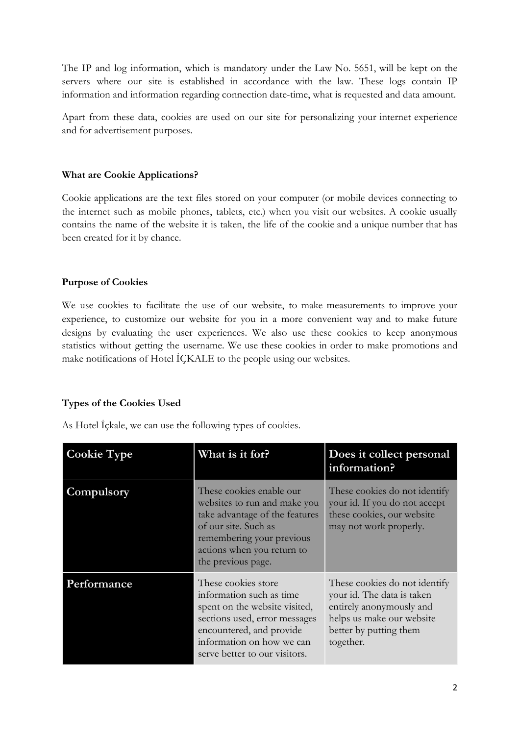The IP and log information, which is mandatory under the Law No. 5651, will be kept on the servers where our site is established in accordance with the law. These logs contain IP information and information regarding connection date-time, what is requested and data amount.

Apart from these data, cookies are used on our site for personalizing your internet experience and for advertisement purposes.

# **What are Cookie Applications?**

Cookie applications are the text files stored on your computer (or mobile devices connecting to the internet such as mobile phones, tablets, etc.) when you visit our websites. A cookie usually contains the name of the website it is taken, the life of the cookie and a unique number that has been created for it by chance.

# **Purpose of Cookies**

We use cookies to facilitate the use of our website, to make measurements to improve your experience, to customize our website for you in a more convenient way and to make future designs by evaluating the user experiences. We also use these cookies to keep anonymous statistics without getting the username. We use these cookies in order to make promotions and make notifications of Hotel İÇKALE to the people using our websites.

# **Types of the Cookies Used**

As Hotel İçkale, we can use the following types of cookies.

| <b>Cookie Type</b> | What is it for?                                                                                                                                                                                             | Does it collect personal<br>information?                                                                                                                    |
|--------------------|-------------------------------------------------------------------------------------------------------------------------------------------------------------------------------------------------------------|-------------------------------------------------------------------------------------------------------------------------------------------------------------|
| Compulsory         | These cookies enable our<br>websites to run and make you<br>take advantage of the features<br>of our site. Such as<br>remembering your previous<br>actions when you return to<br>the previous page.         | These cookies do not identify<br>your id. If you do not accept<br>these cookies, our website<br>may not work properly.                                      |
| Performance        | These cookies store<br>information such as time<br>spent on the website visited,<br>sections used, error messages<br>encountered, and provide<br>information on how we can<br>serve better to our visitors. | These cookies do not identify<br>your id. The data is taken<br>entirely anonymously and<br>helps us make our website<br>better by putting them<br>together. |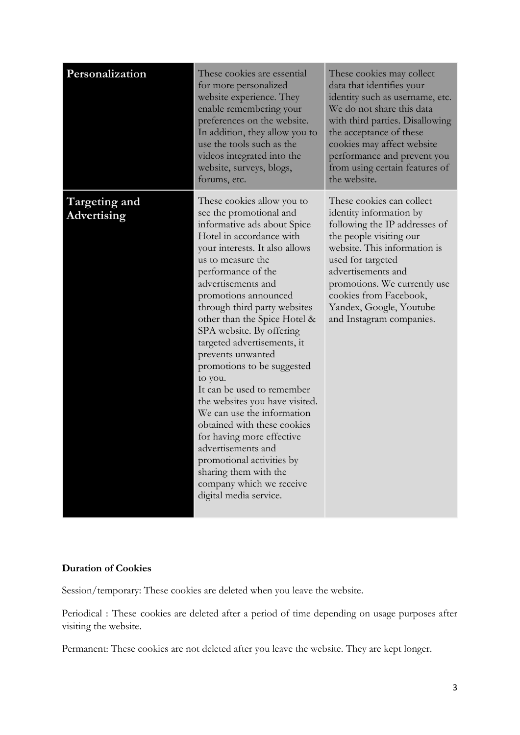| Personalization              | These cookies are essential<br>for more personalized<br>website experience. They<br>enable remembering your<br>preferences on the website.<br>In addition, they allow you to<br>use the tools such as the<br>videos integrated into the<br>website, surveys, blogs,<br>forums, etc.                                                                                                                                                                                                                                                                                                                                                                                                                                              | These cookies may collect<br>data that identifies your<br>identity such as username, etc.<br>We do not share this data<br>with third parties. Disallowing<br>the acceptance of these<br>cookies may affect website<br>performance and prevent you<br>from using certain features of<br>the website.          |
|------------------------------|----------------------------------------------------------------------------------------------------------------------------------------------------------------------------------------------------------------------------------------------------------------------------------------------------------------------------------------------------------------------------------------------------------------------------------------------------------------------------------------------------------------------------------------------------------------------------------------------------------------------------------------------------------------------------------------------------------------------------------|--------------------------------------------------------------------------------------------------------------------------------------------------------------------------------------------------------------------------------------------------------------------------------------------------------------|
| Targeting and<br>Advertising | These cookies allow you to<br>see the promotional and<br>informative ads about Spice<br>Hotel in accordance with<br>your interests. It also allows<br>us to measure the<br>performance of the<br>advertisements and<br>promotions announced<br>through third party websites<br>other than the Spice Hotel &<br>SPA website. By offering<br>targeted advertisements, it<br>prevents unwanted<br>promotions to be suggested<br>to you.<br>It can be used to remember<br>the websites you have visited.<br>We can use the information<br>obtained with these cookies<br>for having more effective<br>advertisements and<br>promotional activities by<br>sharing them with the<br>company which we receive<br>digital media service. | These cookies can collect<br>identity information by<br>following the IP addresses of<br>the people visiting our<br>website. This information is<br>used for targeted<br>advertisements and<br>promotions. We currently use<br>cookies from Facebook,<br>Yandex, Google, Youtube<br>and Instagram companies. |

# **Duration of Cookies**

Session/temporary: These cookies are deleted when you leave the website.

Periodical : These cookies are deleted after a period of time depending on usage purposes after visiting the website.

Permanent: These cookies are not deleted after you leave the website. They are kept longer.